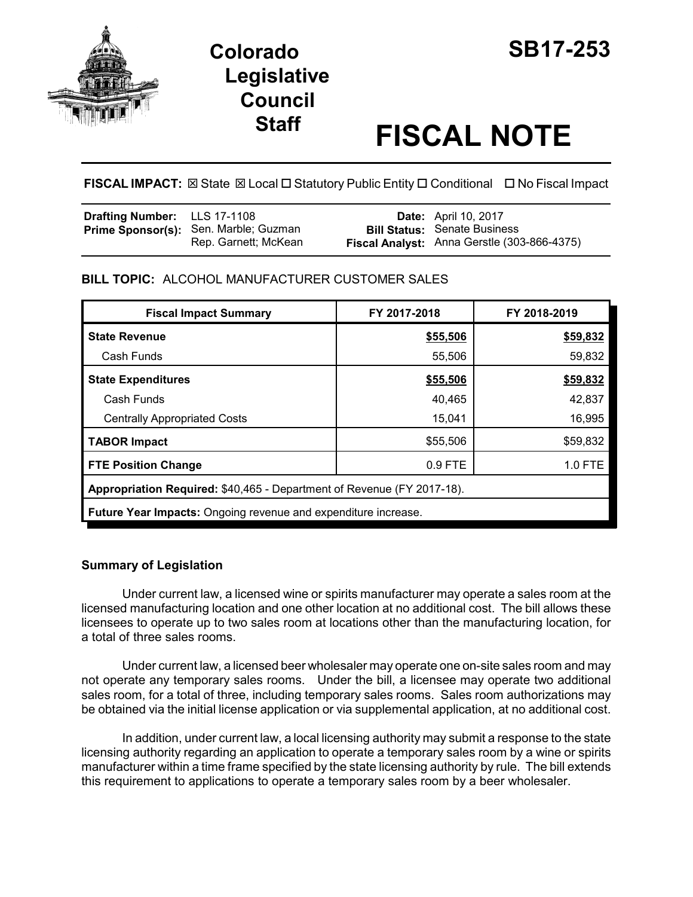



# **Staff FISCAL NOTE**

**FISCAL IMPACT:** ⊠ State ⊠ Local □ Statutory Public Entity □ Conditional □ No Fiscal Impact

| <b>Drafting Number:</b> LLS 17-1108 |                                                                      | <b>Date:</b> April 10, 2017                                                        |
|-------------------------------------|----------------------------------------------------------------------|------------------------------------------------------------------------------------|
|                                     | <b>Prime Sponsor(s):</b> Sen. Marble; Guzman<br>Rep. Garnett; McKean | <b>Bill Status: Senate Business</b><br>Fiscal Analyst: Anna Gerstle (303-866-4375) |

# **BILL TOPIC:** ALCOHOL MANUFACTURER CUSTOMER SALES

| <b>Fiscal Impact Summary</b>                                           | FY 2017-2018 | FY 2018-2019 |  |  |
|------------------------------------------------------------------------|--------------|--------------|--|--|
| <b>State Revenue</b>                                                   | \$55,506     | \$59,832     |  |  |
| Cash Funds                                                             | 55,506       | 59,832       |  |  |
| <b>State Expenditures</b>                                              | \$55,506     | \$59,832     |  |  |
| Cash Funds                                                             | 40,465       | 42,837       |  |  |
| <b>Centrally Appropriated Costs</b>                                    | 15,041       | 16,995       |  |  |
| <b>TABOR Impact</b>                                                    | \$55,506     | \$59,832     |  |  |
| <b>FTE Position Change</b>                                             | $0.9$ FTE    | $1.0$ FTE    |  |  |
| Appropriation Required: \$40,465 - Department of Revenue (FY 2017-18). |              |              |  |  |
| <b>Future Year Impacts:</b> Ongoing revenue and expenditure increase.  |              |              |  |  |

# **Summary of Legislation**

Under current law, a licensed wine or spirits manufacturer may operate a sales room at the licensed manufacturing location and one other location at no additional cost. The bill allows these licensees to operate up to two sales room at locations other than the manufacturing location, for a total of three sales rooms.

Under current law, a licensed beer wholesaler may operate one on-site sales room and may not operate any temporary sales rooms. Under the bill, a licensee may operate two additional sales room, for a total of three, including temporary sales rooms. Sales room authorizations may be obtained via the initial license application or via supplemental application, at no additional cost.

In addition, under current law, a local licensing authority may submit a response to the state licensing authority regarding an application to operate a temporary sales room by a wine or spirits manufacturer within a time frame specified by the state licensing authority by rule. The bill extends this requirement to applications to operate a temporary sales room by a beer wholesaler.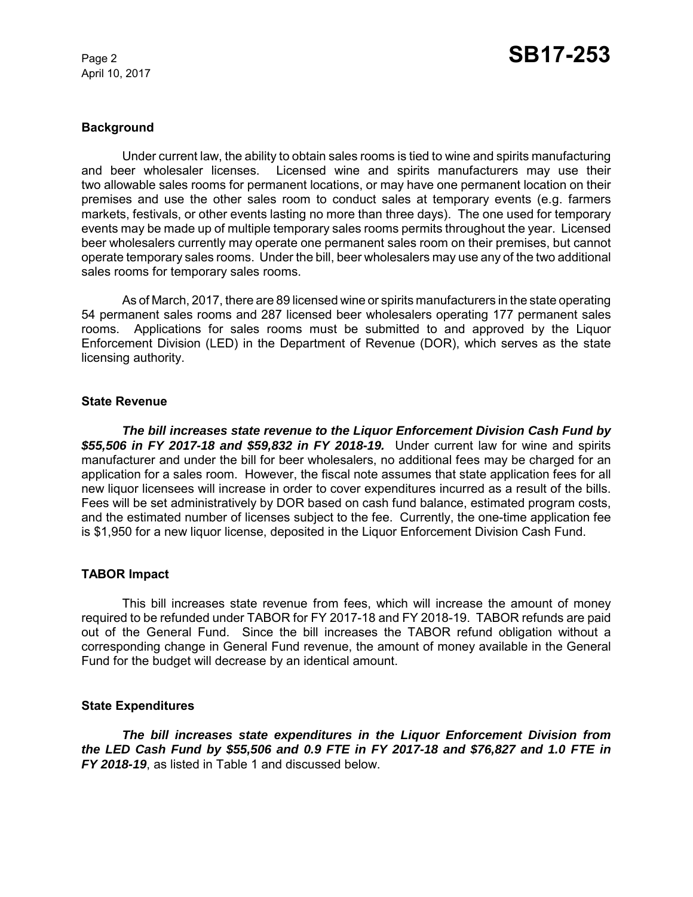April 10, 2017

## **Background**

Under current law, the ability to obtain sales rooms is tied to wine and spirits manufacturing and beer wholesaler licenses. Licensed wine and spirits manufacturers may use their two allowable sales rooms for permanent locations, or may have one permanent location on their premises and use the other sales room to conduct sales at temporary events (e.g. farmers markets, festivals, or other events lasting no more than three days). The one used for temporary events may be made up of multiple temporary sales rooms permits throughout the year. Licensed beer wholesalers currently may operate one permanent sales room on their premises, but cannot operate temporary sales rooms. Under the bill, beer wholesalers may use any of the two additional sales rooms for temporary sales rooms.

As of March, 2017, there are 89 licensed wine or spirits manufacturers in the state operating 54 permanent sales rooms and 287 licensed beer wholesalers operating 177 permanent sales rooms. Applications for sales rooms must be submitted to and approved by the Liquor Enforcement Division (LED) in the Department of Revenue (DOR), which serves as the state licensing authority.

### **State Revenue**

*The bill increases state revenue to the Liquor Enforcement Division Cash Fund by \$55,506 in FY 2017-18 and \$59,832 in FY 2018-19.* Under current law for wine and spirits manufacturer and under the bill for beer wholesalers, no additional fees may be charged for an application for a sales room. However, the fiscal note assumes that state application fees for all new liquor licensees will increase in order to cover expenditures incurred as a result of the bills. Fees will be set administratively by DOR based on cash fund balance, estimated program costs, and the estimated number of licenses subject to the fee. Currently, the one-time application fee is \$1,950 for a new liquor license, deposited in the Liquor Enforcement Division Cash Fund.

# **TABOR Impact**

This bill increases state revenue from fees, which will increase the amount of money required to be refunded under TABOR for FY 2017-18 and FY 2018-19. TABOR refunds are paid out of the General Fund. Since the bill increases the TABOR refund obligation without a corresponding change in General Fund revenue, the amount of money available in the General Fund for the budget will decrease by an identical amount.

# **State Expenditures**

*The bill increases state expenditures in the Liquor Enforcement Division from the LED Cash Fund by \$55,506 and 0.9 FTE in FY 2017-18 and \$76,827 and 1.0 FTE in FY 2018-19*, as listed in Table 1 and discussed below.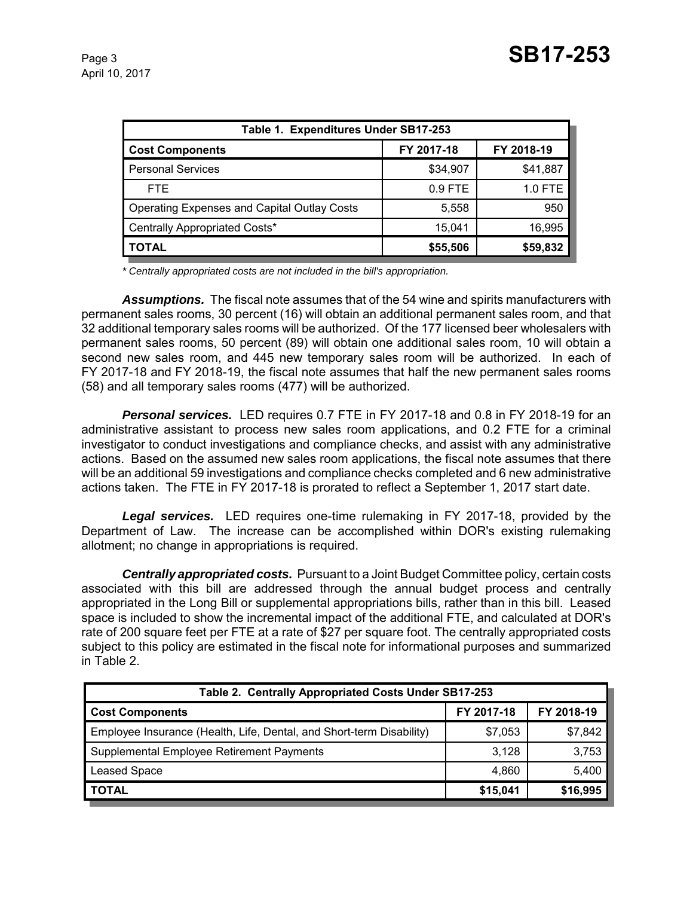| Table 1. Expenditures Under SB17-253        |            |            |  |  |
|---------------------------------------------|------------|------------|--|--|
| <b>Cost Components</b>                      | FY 2017-18 | FY 2018-19 |  |  |
| <b>Personal Services</b>                    | \$34,907   | \$41,887   |  |  |
| <b>FTE</b>                                  | $0.9$ FTE  | 1.0 FTE    |  |  |
| Operating Expenses and Capital Outlay Costs | 5,558      | 950        |  |  |
| Centrally Appropriated Costs*               | 15.041     | 16,995     |  |  |
| TOTAL                                       | \$55,506   | \$59,832   |  |  |

*\* Centrally appropriated costs are not included in the bill's appropriation.*

*Assumptions.* The fiscal note assumes that of the 54 wine and spirits manufacturers with permanent sales rooms, 30 percent (16) will obtain an additional permanent sales room, and that 32 additional temporary sales rooms will be authorized. Of the 177 licensed beer wholesalers with permanent sales rooms, 50 percent (89) will obtain one additional sales room, 10 will obtain a second new sales room, and 445 new temporary sales room will be authorized. In each of FY 2017-18 and FY 2018-19, the fiscal note assumes that half the new permanent sales rooms (58) and all temporary sales rooms (477) will be authorized.

*Personal services.* LED requires 0.7 FTE in FY 2017-18 and 0.8 in FY 2018-19 for an administrative assistant to process new sales room applications, and 0.2 FTE for a criminal investigator to conduct investigations and compliance checks, and assist with any administrative actions. Based on the assumed new sales room applications, the fiscal note assumes that there will be an additional 59 investigations and compliance checks completed and 6 new administrative actions taken. The FTE in FY 2017-18 is prorated to reflect a September 1, 2017 start date.

*Legal services.* LED requires one-time rulemaking in FY 2017-18, provided by the Department of Law. The increase can be accomplished within DOR's existing rulemaking allotment; no change in appropriations is required.

*Centrally appropriated costs.* Pursuant to a Joint Budget Committee policy, certain costs associated with this bill are addressed through the annual budget process and centrally appropriated in the Long Bill or supplemental appropriations bills, rather than in this bill. Leased space is included to show the incremental impact of the additional FTE, and calculated at DOR's rate of 200 square feet per FTE at a rate of \$27 per square foot. The centrally appropriated costs subject to this policy are estimated in the fiscal note for informational purposes and summarized in Table 2.

| Table 2. Centrally Appropriated Costs Under SB17-253                 |            |            |  |  |
|----------------------------------------------------------------------|------------|------------|--|--|
| <b>Cost Components</b>                                               | FY 2017-18 | FY 2018-19 |  |  |
| Employee Insurance (Health, Life, Dental, and Short-term Disability) | \$7,053    | \$7,842    |  |  |
| Supplemental Employee Retirement Payments                            | 3.128      | 3,753      |  |  |
| <b>Leased Space</b>                                                  | 4,860      | 5,400      |  |  |
| <b>TOTAL</b>                                                         | \$15,041   | \$16,995   |  |  |